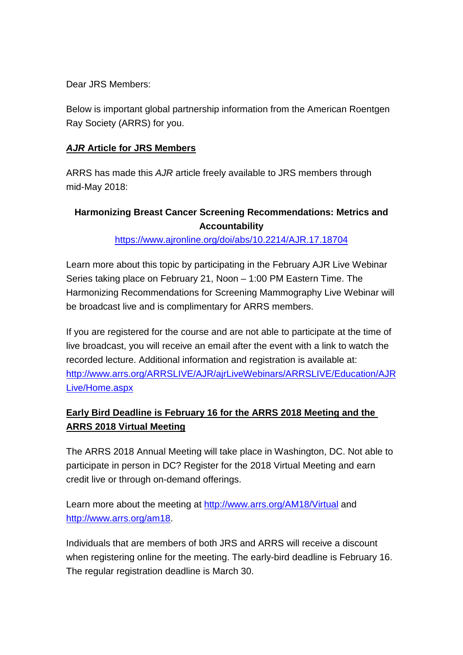Dear JRS Members:

Below is important global partnership information from the American Roentgen Ray Society (ARRS) for you.

## *AJR* **Article for JRS Members**

ARRS has made this *AJR* article freely available to JRS members through mid-May 2018:

## **Harmonizing Breast Cancer Screening Recommendations: Metrics and Accountability**

<https://www.ajronline.org/doi/abs/10.2214/AJR.17.18704>

Learn more about this topic by participating in the February AJR Live Webinar Series taking place on February 21, Noon – 1:00 PM Eastern Time. The Harmonizing Recommendations for Screening Mammography Live Webinar will be broadcast live and is complimentary for ARRS members.

If you are registered for the course and are not able to participate at the time of live broadcast, you will receive an email after the event with a link to watch the recorded lecture. Additional information and registration is available at: [http://www.arrs.org/ARRSLIVE/AJR/ajrLiveWebinars/ARRSLIVE/Education/AJR](http://www.arrs.org/ARRSLIVE/AJR/ajrLiveWebinars/ARRSLIVE/Education/AJRLive/Home.aspx) [Live/Home.aspx](http://www.arrs.org/ARRSLIVE/AJR/ajrLiveWebinars/ARRSLIVE/Education/AJRLive/Home.aspx)

## **Early Bird Deadline is February 16 for the ARRS 2018 Meeting and the ARRS 2018 Virtual Meeting**

The ARRS 2018 Annual Meeting will take place in Washington, DC. Not able to participate in person in DC? Register for the 2018 Virtual Meeting and earn credit live or through on-demand offerings.

Learn more about the meeting at<http://www.arrs.org/AM18/Virtual> and [http://www.arrs.org/am18.](http://www.arrs.org/am18)

Individuals that are members of both JRS and ARRS will receive a discount when registering online for the meeting. The early-bird deadline is February 16. The regular registration deadline is March 30.